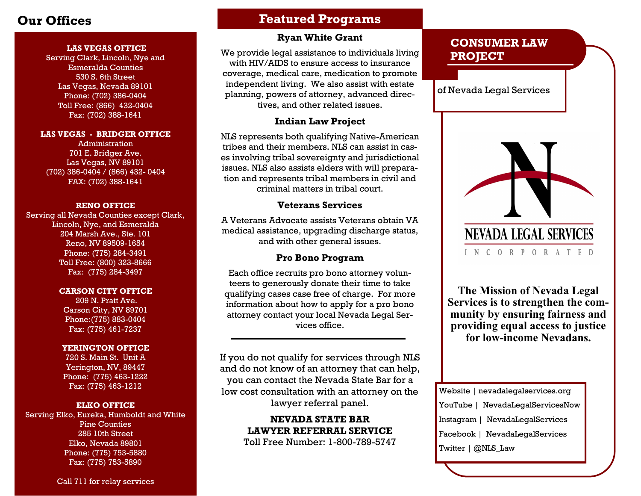#### **LAS VEGAS OFFICE**

Serving Clark, Lincoln, Nye and Esmeralda Counties 530 S. 6th Street Las Vegas, Nevada 89101 Phone: (702) 386-0404 Toll Free: (866) 432-0404 Fax: (702) 388-1641

#### **LAS VEGAS - BRIDGER OFFICE**

Administration 701 E. Bridger Ave. Las Vegas, NV 89101 (702) 386-0404 / (866) 432- 0404 FAX: (702) 388-1641

#### **RENO OFFICE**

Serving all Nevada Counties except Clark, Lincoln, Nye, and Esmeralda 204 Marsh Ave., Ste. 101 Reno, NV 89509-1654 Phone: (775) 284-3491 Toll Free: (800) 323-8666 Fax: (775) 284-3497

#### **CARSON CITY OFFICE**

209 N. Pratt Ave. Carson City, NV 89701 Phone:(775) 883-0404 Fax: (775) 461-7237

#### **YERINGTON OFFICE**

720 S. Main St. Unit A Yerington, NV, 89447 Phone: (775) 463-1222 Fax: (775) 463-1212

#### **ELKO OFFICE**

Serving Elko, Eureka, Humboldt and White Pine Counties 285 10th Street Elko, Nevada 89801 Phone: (775) 753-5880 Fax: (775) 753-5890

#### Call 711 for relay services

## **Our Offices Featured Programs**

### **Ryan White Grant**

We provide legal assistance to individuals living with HIV/AIDS to ensure access to insurance coverage, medical care, medication to promote independent living. We also assist with estate planning, powers of attorney, advanced directives, and other related issues.

### **Indian Law Project**

NLS represents both qualifying Native-American tribes and their members. NLS can assist in cases involving tribal sovereignty and jurisdictional issues. NLS also assists elders with will preparation and represents tribal members in civil and criminal matters in tribal court.

#### **Veterans Services**

A Veterans Advocate assists Veterans obtain VA medical assistance, upgrading discharge status, and with other general issues.

#### **Pro Bono Program**

Each office recruits pro bono attorney volunteers to generously donate their time to take qualifying cases case free of charge. For more information about how to apply for a pro bono attorney contact your local Nevada Legal Services office.

If you do not qualify for services through NLS and do not know of an attorney that can help, you can contact the Nevada State Bar for a low cost consultation with an attorney on the lawyer referral panel.

> **NEVADA STATE BAR LAWYER REFERRAL SERVICE** Toll Free Number: 1-800-789-5747

## **CONSUMER LAW PROJECT**

of Nevada Legal Services



**The Mission of Nevada Legal Services is to strengthen the community by ensuring fairness and providing equal access to justice for low-income Nevadans.**

Website | nevadalegalservices.org YouTube | NevadaLegalServicesNow Instagram | NevadaLegalServices Facebook | NevadaLegalServices Twitter | @NLS\_Law